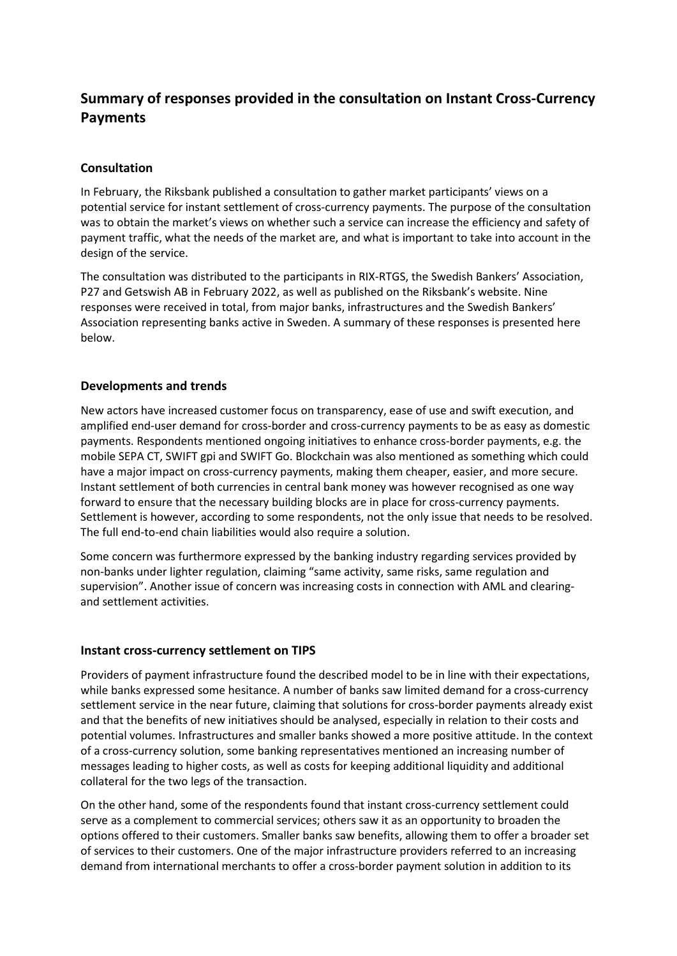# **Summary of responses provided in the consultation on Instant Cross-Currency Payments**

#### **Consultation**

In February, the Riksbank published a consultation to gather market participants' views on a potential service for instant settlement of cross-currency payments. The purpose of the consultation was to obtain the market's views on whether such a service can increase the efficiency and safety of payment traffic, what the needs of the market are, and what is important to take into account in the design of the service.

The consultation was distributed to the participants in RIX-RTGS, the Swedish Bankers' Association, P27 and Getswish AB in February 2022, as well as published on the Riksbank's website. Nine responses were received in total, from major banks, infrastructures and the Swedish Bankers' Association representing banks active in Sweden. A summary of these responses is presented here below.

#### **Developments and trends**

New actors have increased customer focus on transparency, ease of use and swift execution, and amplified end-user demand for cross-border and cross-currency payments to be as easy as domestic payments. Respondents mentioned ongoing initiatives to enhance cross-border payments, e.g. the mobile SEPA CT, SWIFT gpi and SWIFT Go. Blockchain was also mentioned as something which could have a major impact on cross-currency payments, making them cheaper, easier, and more secure. Instant settlement of both currencies in central bank money was however recognised as one way forward to ensure that the necessary building blocks are in place for cross-currency payments. Settlement is however, according to some respondents, not the only issue that needs to be resolved. The full end-to-end chain liabilities would also require a solution.

Some concern was furthermore expressed by the banking industry regarding services provided by non-banks under lighter regulation, claiming "same activity, same risks, same regulation and supervision". Another issue of concern was increasing costs in connection with AML and clearingand settlement activities.

#### **Instant cross-currency settlement on TIPS**

Providers of payment infrastructure found the described model to be in line with their expectations, while banks expressed some hesitance. A number of banks saw limited demand for a cross-currency settlement service in the near future, claiming that solutions for cross-border payments already exist and that the benefits of new initiatives should be analysed, especially in relation to their costs and potential volumes. Infrastructures and smaller banks showed a more positive attitude. In the context of a cross-currency solution, some banking representatives mentioned an increasing number of messages leading to higher costs, as well as costs for keeping additional liquidity and additional collateral for the two legs of the transaction.

On the other hand, some of the respondents found that instant cross-currency settlement could serve as a complement to commercial services; others saw it as an opportunity to broaden the options offered to their customers. Smaller banks saw benefits, allowing them to offer a broader set of services to their customers. One of the major infrastructure providers referred to an increasing demand from international merchants to offer a cross-border payment solution in addition to its